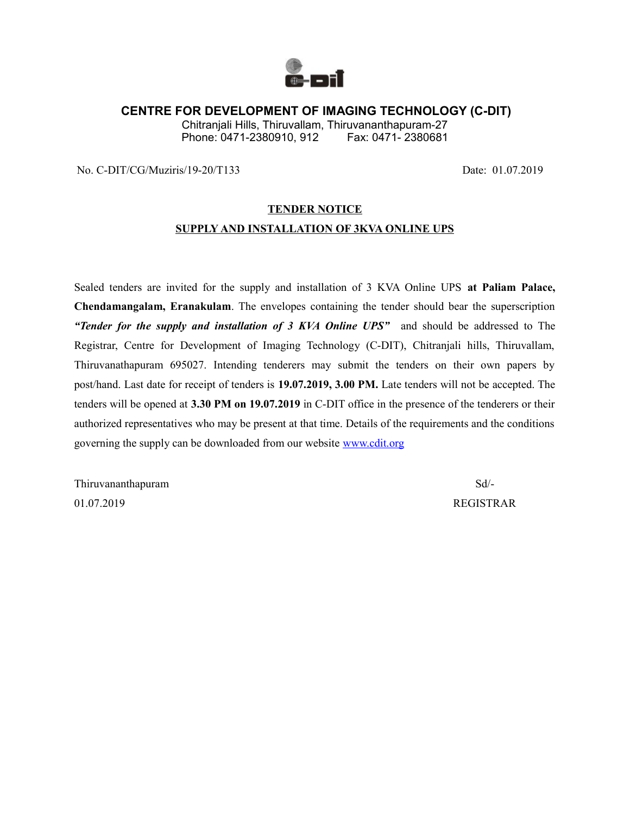

### **CENTRE FOR DEVELOPMENT OF IMAGING TECHNOLOGY (C-DIT)**

Chitranjali Hills, Thiruvallam, Thiruvananthapuram-27 Phone: 0471-2380910, 912 Fax: 0471-2380681

No. C-DIT/CG/Muziris/19-20/T133 Date: 01.07.2019

#### **TENDER NOTICE**

### **SUPPLY AND INSTALLATION OF 3KVA ONLINE UPS**

Sealed tenders are invited for the supply and installation of 3 KVA Online UPS **at Paliam Palace, Chendamangalam, Eranakulam**. The envelopes containing the tender should bear the superscription *"Tender for the supply and installation of 3 KVA Online UPS"* and should be addressed to The Registrar, Centre for Development of Imaging Technology (C-DIT), Chitranjali hills, Thiruvallam, Thiruvanathapuram 695027. Intending tenderers may submit the tenders on their own papers by post/hand. Last date for receipt of tenders is **19.07.2019, 3.00 PM.** Late tenders will not be accepted. The tenders will be opened at **3.30 PM on 19.07.2019** in C-DIT office in the presence of the tenderers or their authorized representatives who may be present at that time. Details of the requirements and the conditions governing the supply can be downloaded from our website [www.cdit.org](http://www.cdit.org/)

Thiruvananthapuram Sd/- 01.07.2019 REGISTRAR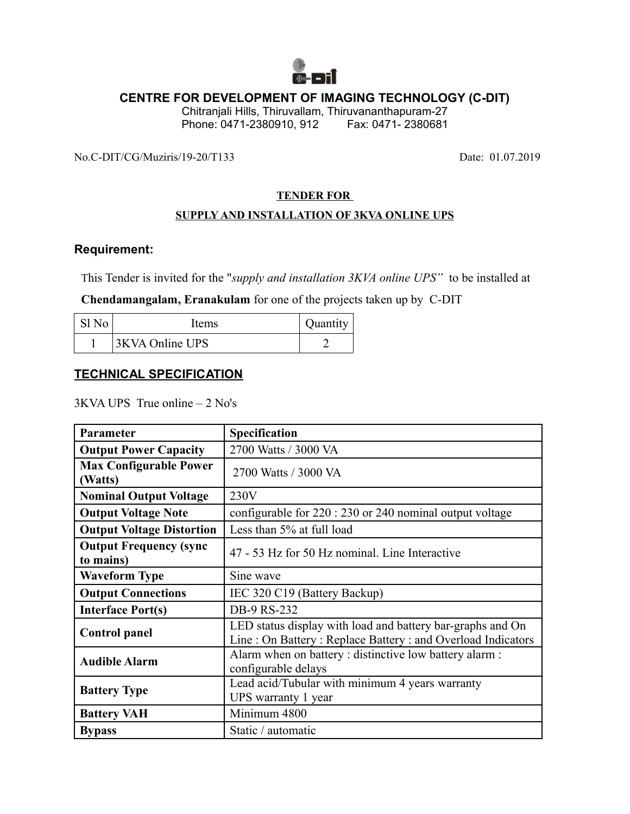

# **CENTRE FOR DEVELOPMENT OF IMAGING TECHNOLOGY (C-DIT)**

Chitranjali Hills, Thiruvallam, Thiruvananthapuram-27 Phone: 0471-2380910, 912

No.C-DIT/CG/Muziris/19-20/T133 Date: 01.07.2019

### **TENDER FOR**

### **SUPPLY AND INSTALLATION OF 3KVA ONLINE UPS**

### **Requirement:**

This Tender is invited for the "*supply and installation 3KVA online UPS"* to be installed at

**Chendamangalam, Eranakulam** for one of the projects taken up by C-DIT

| -S1 No | Items           | Quantity |
|--------|-----------------|----------|
|        | 3KVA Online UPS |          |

# **TECHNICAL SPECIFICATION**

3KVA UPS True online – 2 No's

| Parameter                                  | Specification                                                                                                            |
|--------------------------------------------|--------------------------------------------------------------------------------------------------------------------------|
| <b>Output Power Capacity</b>               | 2700 Watts / 3000 VA                                                                                                     |
| <b>Max Configurable Power</b><br>(Watts)   | 2700 Watts / 3000 VA                                                                                                     |
| <b>Nominal Output Voltage</b>              | 230V                                                                                                                     |
| <b>Output Voltage Note</b>                 | configurable for $220:230$ or 240 nominal output voltage                                                                 |
| <b>Output Voltage Distortion</b>           | Less than 5% at full load                                                                                                |
| <b>Output Frequency (sync</b><br>to mains) | 47 - 53 Hz for 50 Hz nominal. Line Interactive                                                                           |
| <b>Waveform Type</b>                       | Sine wave                                                                                                                |
| <b>Output Connections</b>                  | IEC 320 C19 (Battery Backup)                                                                                             |
| <b>Interface Port(s)</b>                   | DB-9 RS-232                                                                                                              |
| <b>Control</b> panel                       | LED status display with load and battery bar-graphs and On<br>Line: On Battery: Replace Battery: and Overload Indicators |
| <b>Audible Alarm</b>                       | Alarm when on battery : distinctive low battery alarm :<br>configurable delays                                           |
| <b>Battery Type</b>                        | Lead acid/Tubular with minimum 4 years warranty<br>UPS warranty 1 year                                                   |
| <b>Battery VAH</b>                         | Minimum 4800                                                                                                             |
| <b>Bypass</b>                              | Static / automatic                                                                                                       |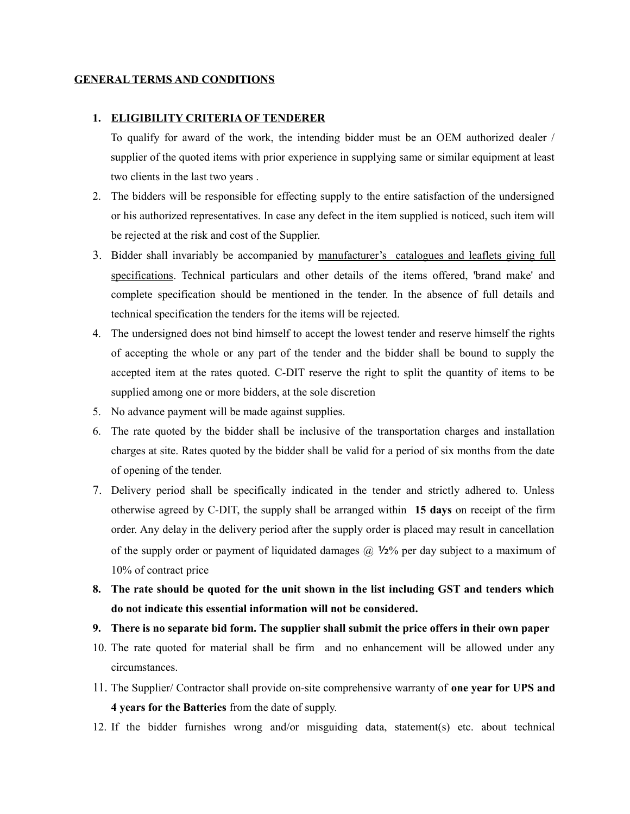#### **GENERAL TERMS AND CONDITIONS**

#### **1. ELIGIBILITY CRITERIA OF TENDERER**

To qualify for award of the work, the intending bidder must be an OEM authorized dealer / supplier of the quoted items with prior experience in supplying same or similar equipment at least two clients in the last two years .

- 2. The bidders will be responsible for effecting supply to the entire satisfaction of the undersigned or his authorized representatives. In case any defect in the item supplied is noticed, such item will be rejected at the risk and cost of the Supplier.
- 3. Bidder shall invariably be accompanied by manufacturer's catalogues and leaflets giving full specifications. Technical particulars and other details of the items offered, 'brand make' and complete specification should be mentioned in the tender. In the absence of full details and technical specification the tenders for the items will be rejected.
- 4. The undersigned does not bind himself to accept the lowest tender and reserve himself the rights of accepting the whole or any part of the tender and the bidder shall be bound to supply the accepted item at the rates quoted. C-DIT reserve the right to split the quantity of items to be supplied among one or more bidders, at the sole discretion
- 5. No advance payment will be made against supplies.
- 6. The rate quoted by the bidder shall be inclusive of the transportation charges and installation charges at site. Rates quoted by the bidder shall be valid for a period of six months from the date of opening of the tender.
- 7. Delivery period shall be specifically indicated in the tender and strictly adhered to. Unless otherwise agreed by C-DIT, the supply shall be arranged within **15 days** on receipt of the firm order. Any delay in the delivery period after the supply order is placed may result in cancellation of the supply order or payment of liquidated damages  $\omega$  1/2% per day subject to a maximum of 10% of contract price
- **8. The rate should be quoted for the unit shown in the list including GST and tenders which do not indicate this essential information will not be considered.**
- **9. There is no separate bid form. The supplier shall submit the price offers in their own paper**
- 10. The rate quoted for material shall be firm and no enhancement will be allowed under any circumstances.
- 11. The Supplier/ Contractor shall provide on-site comprehensive warranty of **one year for UPS and 4 years for the Batteries** from the date of supply.
- 12. If the bidder furnishes wrong and/or misguiding data, statement(s) etc. about technical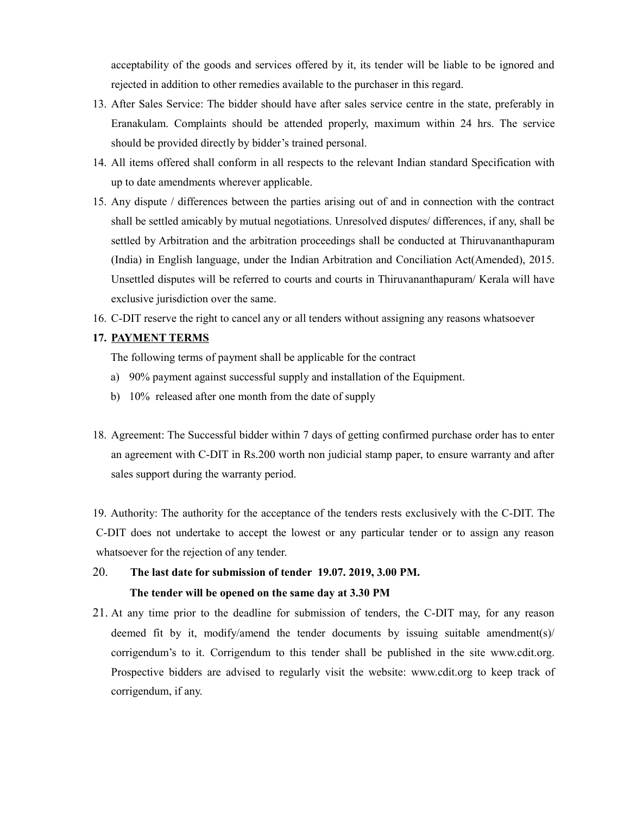acceptability of the goods and services offered by it, its tender will be liable to be ignored and rejected in addition to other remedies available to the purchaser in this regard.

- 13. After Sales Service: The bidder should have after sales service centre in the state, preferably in Eranakulam. Complaints should be attended properly, maximum within 24 hrs. The service should be provided directly by bidder's trained personal.
- 14. All items offered shall conform in all respects to the relevant Indian standard Specification with up to date amendments wherever applicable.
- 15. Any dispute / differences between the parties arising out of and in connection with the contract shall be settled amicably by mutual negotiations. Unresolved disputes/ differences, if any, shall be settled by Arbitration and the arbitration proceedings shall be conducted at Thiruvananthapuram (India) in English language, under the Indian Arbitration and Conciliation Act(Amended), 2015. Unsettled disputes will be referred to courts and courts in Thiruvananthapuram/ Kerala will have exclusive jurisdiction over the same.
- 16. C-DIT reserve the right to cancel any or all tenders without assigning any reasons whatsoever

### **17. PAYMENT TERMS**

The following terms of payment shall be applicable for the contract

- a) 90% payment against successful supply and installation of the Equipment.
- b) 10% released after one month from the date of supply
- 18. Agreement: The Successful bidder within 7 days of getting confirmed purchase order has to enter an agreement with C-DIT in Rs.200 worth non judicial stamp paper, to ensure warranty and after sales support during the warranty period.

19. Authority: The authority for the acceptance of the tenders rests exclusively with the C-DIT. The C-DIT does not undertake to accept the lowest or any particular tender or to assign any reason whatsoever for the rejection of any tender.

# 20. **The last date for submission of tender 19.07. 2019, 3.00 PM. The tender will be opened on the same day at 3.30 PM**

21. At any time prior to the deadline for submission of tenders, the C-DIT may, for any reason deemed fit by it, modify/amend the tender documents by issuing suitable amendment(s)/ corrigendum's to it. Corrigendum to this tender shall be published in the site www.cdit.org. Prospective bidders are advised to regularly visit the website: www.cdit.org to keep track of corrigendum, if any.